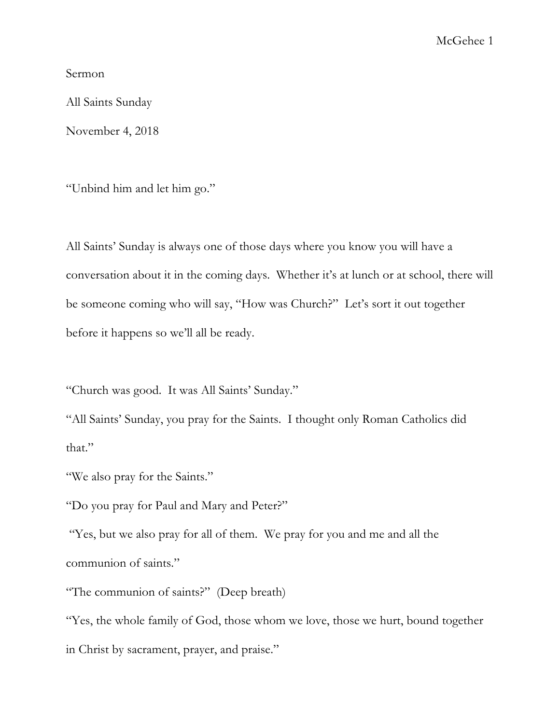Sermon

All Saints Sunday

November 4, 2018

"Unbind him and let him go."

All Saints' Sunday is always one of those days where you know you will have a conversation about it in the coming days. Whether it's at lunch or at school, there will be someone coming who will say, "How was Church?" Let's sort it out together before it happens so we'll all be ready.

"Church was good. It was All Saints' Sunday."

"All Saints' Sunday, you pray for the Saints. I thought only Roman Catholics did that."

"We also pray for the Saints."

"Do you pray for Paul and Mary and Peter?"

"Yes, but we also pray for all of them. We pray for you and me and all the communion of saints."

"The communion of saints?" (Deep breath)

"Yes, the whole family of God, those whom we love, those we hurt, bound together in Christ by sacrament, prayer, and praise."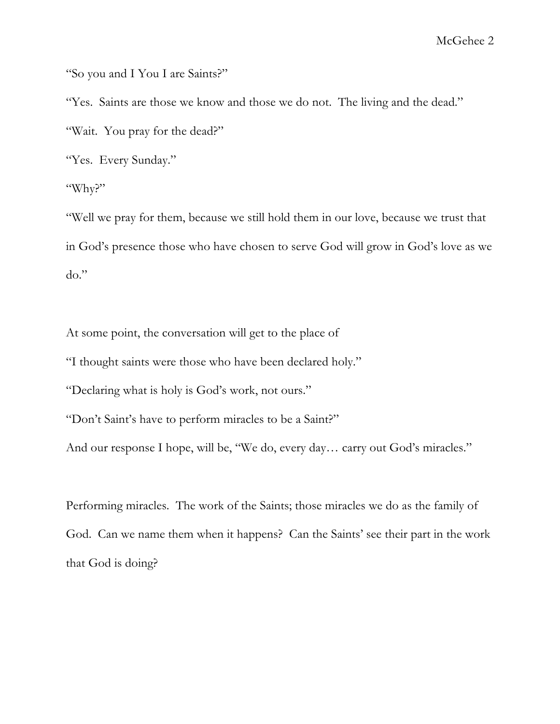"So you and I You I are Saints?"

"Yes. Saints are those we know and those we do not. The living and the dead."

"Wait. You pray for the dead?"

"Yes. Every Sunday."

"Why?"

"Well we pray for them, because we still hold them in our love, because we trust that in God's presence those who have chosen to serve God will grow in God's love as we do."

At some point, the conversation will get to the place of

"I thought saints were those who have been declared holy."

"Declaring what is holy is God's work, not ours."

"Don't Saint's have to perform miracles to be a Saint?"

And our response I hope, will be, "We do, every day… carry out God's miracles."

Performing miracles. The work of the Saints; those miracles we do as the family of God. Can we name them when it happens? Can the Saints' see their part in the work that God is doing?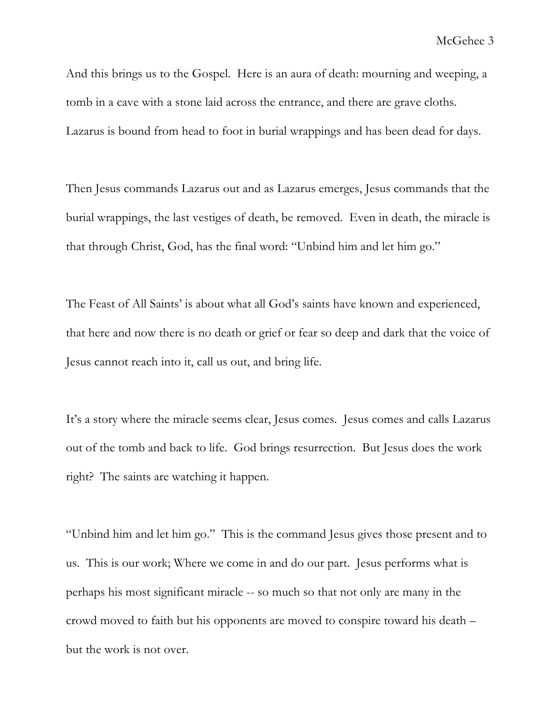And this brings us to the Gospel. Here is an aura of death: mourning and weeping, a tomb in a cave with a stone laid across the entrance, and there are grave cloths. Lazarus is bound from head to foot in burial wrappings and has been dead for days.

Then Jesus commands Lazarus out and as Lazarus emerges, Jesus commands that the burial wrappings, the last vestiges of death, be removed. Even in death, the miracle is that through Christ, God, has the final word: "Unbind him and let him go."

The Feast of All Saints' is about what all God's saints have known and experienced, that here and now there is no death or grief or fear so deep and dark that the voice of Jesus cannot reach into it, call us out, and bring life.

It's a story where the miracle seems clear, Jesus comes. Jesus comes and calls Lazarus out of the tomb and back to life. God brings resurrection. But Jesus does the work right? The saints are watching it happen.

"Unbind him and let him go." This is the command Jesus gives those present and to us. This is our work; Where we come in and do our part. Jesus performs what is perhaps his most significant miracle -- so much so that not only are many in the crowd moved to faith but his opponents are moved to conspire toward his death – but the work is not over.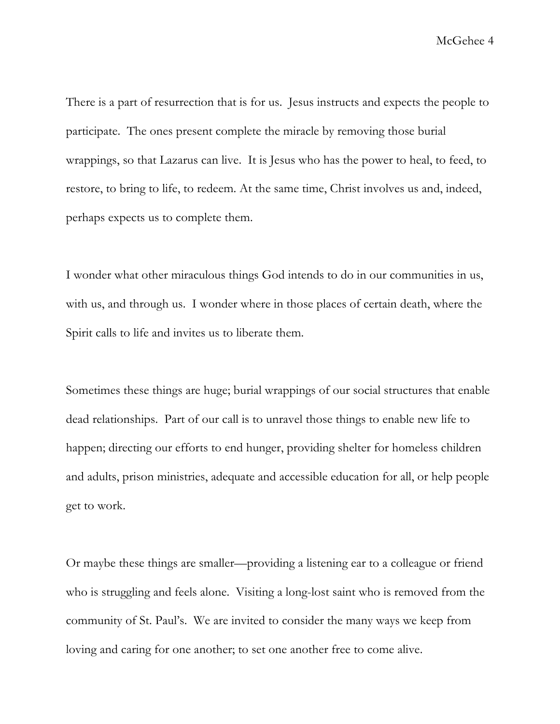There is a part of resurrection that is for us. Jesus instructs and expects the people to participate. The ones present complete the miracle by removing those burial wrappings, so that Lazarus can live. It is Jesus who has the power to heal, to feed, to restore, to bring to life, to redeem. At the same time, Christ involves us and, indeed, perhaps expects us to complete them.

I wonder what other miraculous things God intends to do in our communities in us, with us, and through us. I wonder where in those places of certain death, where the Spirit calls to life and invites us to liberate them.

Sometimes these things are huge; burial wrappings of our social structures that enable dead relationships. Part of our call is to unravel those things to enable new life to happen; directing our efforts to end hunger, providing shelter for homeless children and adults, prison ministries, adequate and accessible education for all, or help people get to work.

Or maybe these things are smaller—providing a listening ear to a colleague or friend who is struggling and feels alone. Visiting a long-lost saint who is removed from the community of St. Paul's. We are invited to consider the many ways we keep from loving and caring for one another; to set one another free to come alive.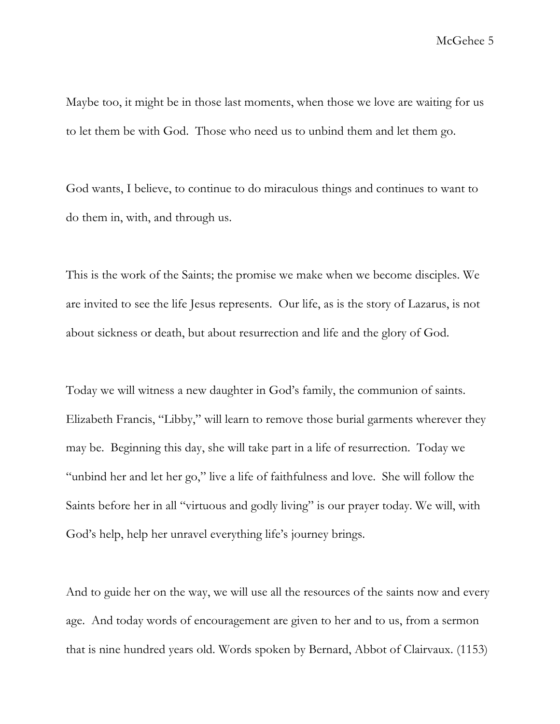Maybe too, it might be in those last moments, when those we love are waiting for us to let them be with God. Those who need us to unbind them and let them go.

God wants, I believe, to continue to do miraculous things and continues to want to do them in, with, and through us.

This is the work of the Saints; the promise we make when we become disciples. We are invited to see the life Jesus represents. Our life, as is the story of Lazarus, is not about sickness or death, but about resurrection and life and the glory of God.

Today we will witness a new daughter in God's family, the communion of saints. Elizabeth Francis, "Libby," will learn to remove those burial garments wherever they may be. Beginning this day, she will take part in a life of resurrection. Today we "unbind her and let her go," live a life of faithfulness and love. She will follow the Saints before her in all "virtuous and godly living" is our prayer today. We will, with God's help, help her unravel everything life's journey brings.

And to guide her on the way, we will use all the resources of the saints now and every age. And today words of encouragement are given to her and to us, from a sermon that is nine hundred years old. Words spoken by Bernard, Abbot of Clairvaux. (1153)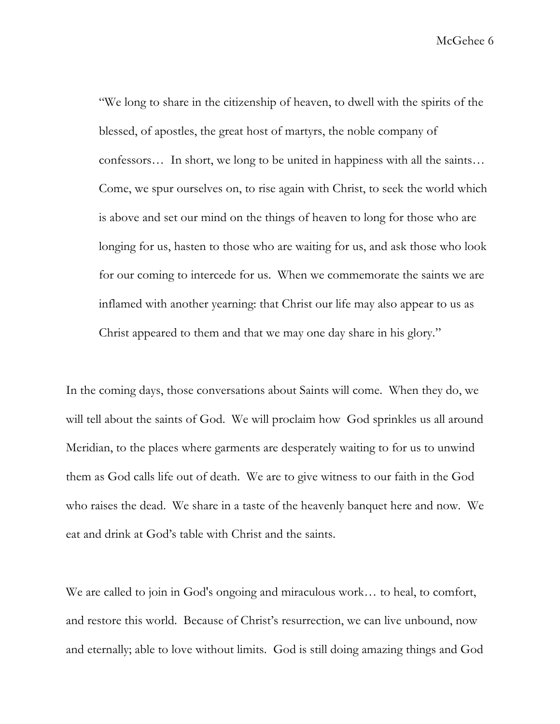"We long to share in the citizenship of heaven, to dwell with the spirits of the blessed, of apostles, the great host of martyrs, the noble company of confessors… In short, we long to be united in happiness with all the saints… Come, we spur ourselves on, to rise again with Christ, to seek the world which is above and set our mind on the things of heaven to long for those who are longing for us, hasten to those who are waiting for us, and ask those who look for our coming to intercede for us. When we commemorate the saints we are inflamed with another yearning: that Christ our life may also appear to us as Christ appeared to them and that we may one day share in his glory."

In the coming days, those conversations about Saints will come. When they do, we will tell about the saints of God. We will proclaim how God sprinkles us all around Meridian, to the places where garments are desperately waiting to for us to unwind them as God calls life out of death. We are to give witness to our faith in the God who raises the dead. We share in a taste of the heavenly banquet here and now. We eat and drink at God's table with Christ and the saints.

We are called to join in God's ongoing and miraculous work… to heal, to comfort, and restore this world. Because of Christ's resurrection, we can live unbound, now and eternally; able to love without limits. God is still doing amazing things and God